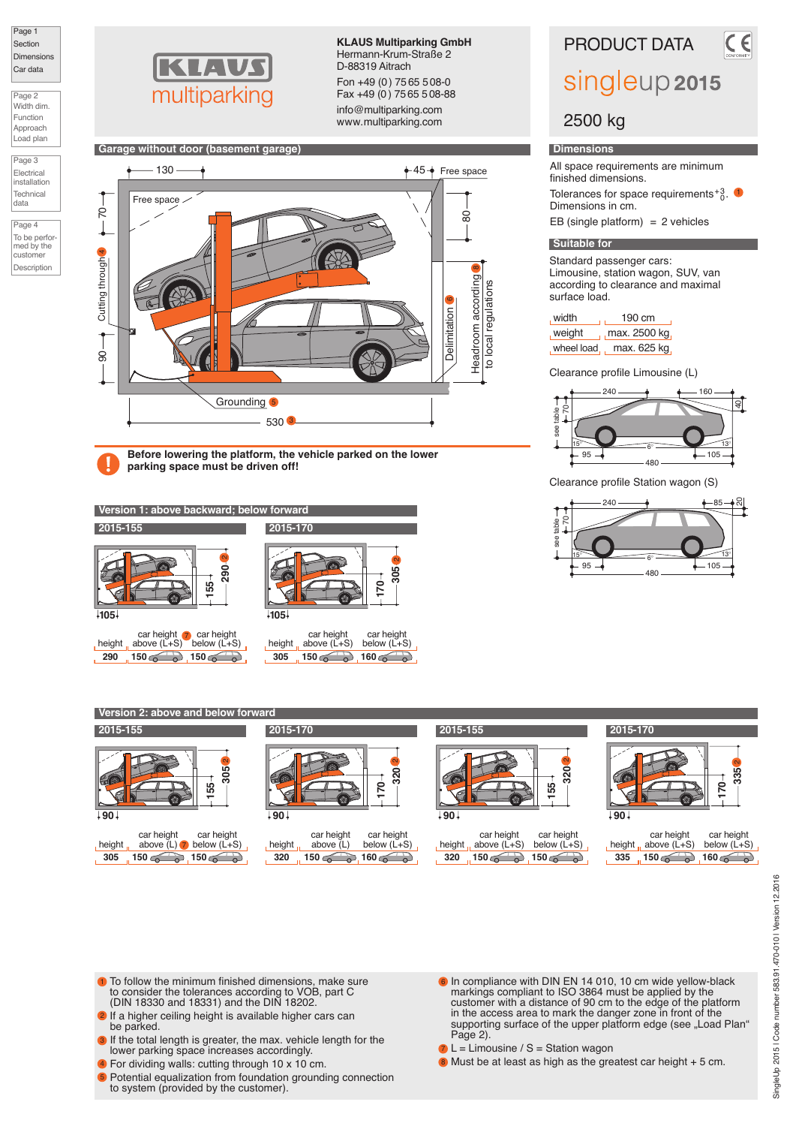Page 1 Section Dimensions Car data

| Page 2     |  |
|------------|--|
| Width dim. |  |
| Function   |  |
| Approach   |  |
| Load plan  |  |

Page 3 Electrical installation **Technica** 

data

Page 4 To be performed by the customer **Description** 



**KLAUS Multiparking GmbH** Hermann-Krum-Straße 2 D-88319 Aitrach Fon +49 (0) 7565 508-0 Fax +49 (0) 7565 508-88

info@multiparking.com www.multiparking.com



**Before lowering the platform, the vehicle parked on the lower parking space must be driven off!**



**Version 2: above and below fore** 

#### **2015-155**

| $+90+$ | $\mathbf{\Omega}$<br>305<br>55                                     |  |
|--------|--------------------------------------------------------------------|--|
| height | car height car height<br>above $(L)$ $\triangledown$ below $(L+S)$ |  |
| 305    | 150G<br>150 <sub>6</sub>                                           |  |



#### height **320** car height<br>above (L) below (L+S)<br>150  $\circ$  160  $\circ$ car height<br>below (L+S) **150 150 150 160 150 150 150 160**



height **320** car height<br>above (L+S) car height<br>below (L+S)

| $+90+$ |            | $\alpha$<br>335<br>$\overline{170}$ |
|--------|------------|-------------------------------------|
|        | oor bojaht | e hoiob                             |

|     | car height                    | car height    |
|-----|-------------------------------|---------------|
|     | height $\alpha$ above $(L+S)$ | below $(L+S)$ |
| 335 | $150\,$                       | $160\,$       |

- 1) To follow the minimum finished dimensions, make sure to consider the tolerances according to VOB, part C (DIN 18330 and 18331) and the DIN 18202.
- 2 If a higher ceiling height is available higher cars can be parked.
- 3 If the total length is greater, the max. vehicle length for the lower parking space increases accordingly.
- For dividing walls: cutting through 10 x 10 cm. 4
- 5 Potential equalization from foundation grounding connection to system (provided by the customer).
- $\bullet$  In compliance with DIN EN 14 010, 10 cm wide yellow-black markings compliant to ISO 3864 must be applied by the customer with a distance of 90 cm to the edge of the platform in the access area to mark the danger zone in front of the supporting surface of the upper platform edge (see "Load Plan" Page 2).
- $7 L =$  Limousine / S = Station wagon
- 8 Must be at least as high as the greatest car height + 5 cm.
- SingleUp 2015 | Code number 583.91.470-010 | Version 12.2016 SingleUp 2015 | Code number 583.91.470-010 | Version 12.2016

# PRODUCT DATA

# singleup 2015

## 2500 kg

#### **Dimensions**

All space requirements are minimum finished dimensions.

Tolerances for space requirements  $^{+3}_{0}$ . **1** Dimensions in cm.

EB (single platform) =  $2$  vehicles

#### **Suitable for**

Standard passenger cars: Limousine, station wagon, SUV, van according to clearance and maximal surface load.

| , width  | 190 cm                     |  |  |
|----------|----------------------------|--|--|
| , weight | $\frac{1}{1}$ max. 2500 kg |  |  |
|          | wheel load, max. 625 kg    |  |  |

Clearance profile Limousine (L)



Clearance profile Station wagon (S)





Width dim. Function  $|A$  $\overline{L}$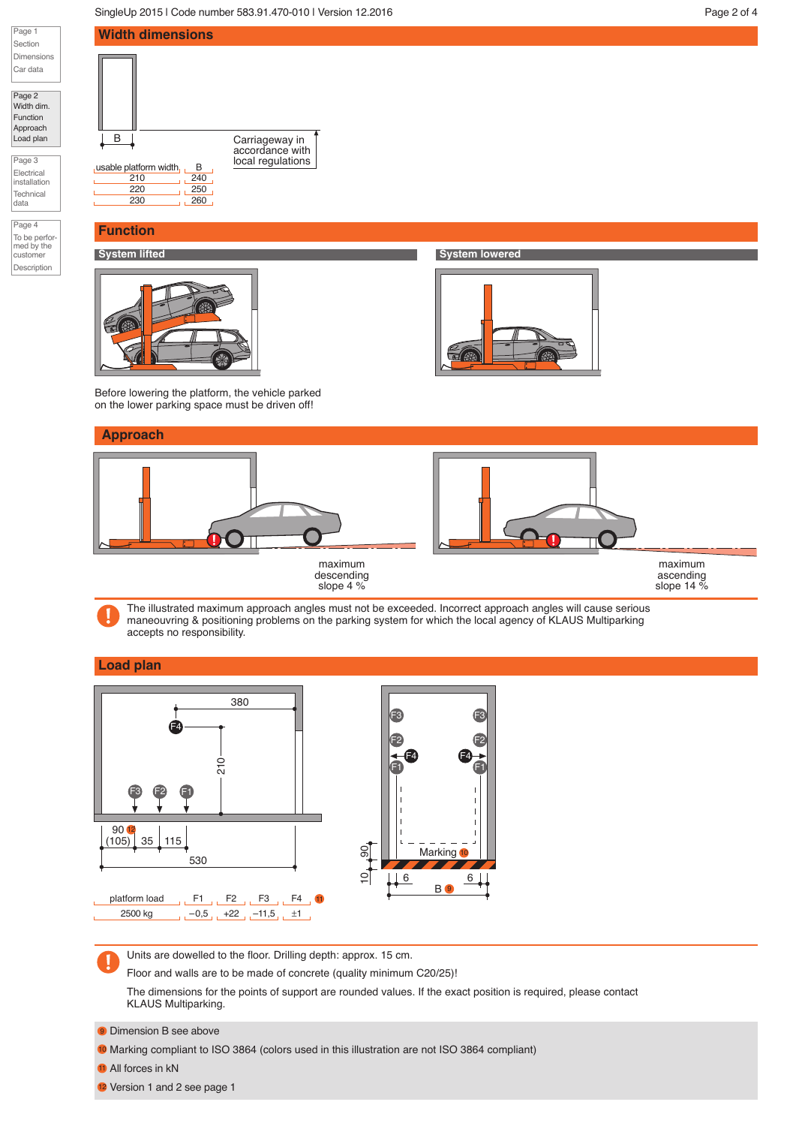SingleUp 2015 | Code number 583.91.470-010 | Version 12.2016 | North 2016 | Page 2 of 4

accordance with<br>local regulations



Page 2 Width dim. Function Approach Load plan

Page 3 Electrical installation **Technical** 

data

Page 4 To be perfor-med by the customer Description



**Width dimensions**

### **Function**



**System lifted System lowered**



Before lowering the platform, the vehicle parked on the lower parking space must be driven off!

### **Approach**



The illustrated maximum approach angles must not be exceeded. Incorrect approach angles will cause serious maneouvring & positioning problems on the parking system for which the local agency of KLAUS Multiparking accepts no responsibility.

### **Load plan**



Units are dowelled to the floor. Drilling depth: approx. 15 cm.

Floor and walls are to be made of concrete (quality minimum C20/25)!

The dimensions for the points of support are rounded values. If the exact position is required, please contact KLAUS Multiparking.

**9** Dimension B see above

<sup>10</sup> Marking compliant to ISO 3864 (colors used in this illustration are not ISO 3864 compliant)

**11** All forces in kN

12 Version 1 and 2 see page 1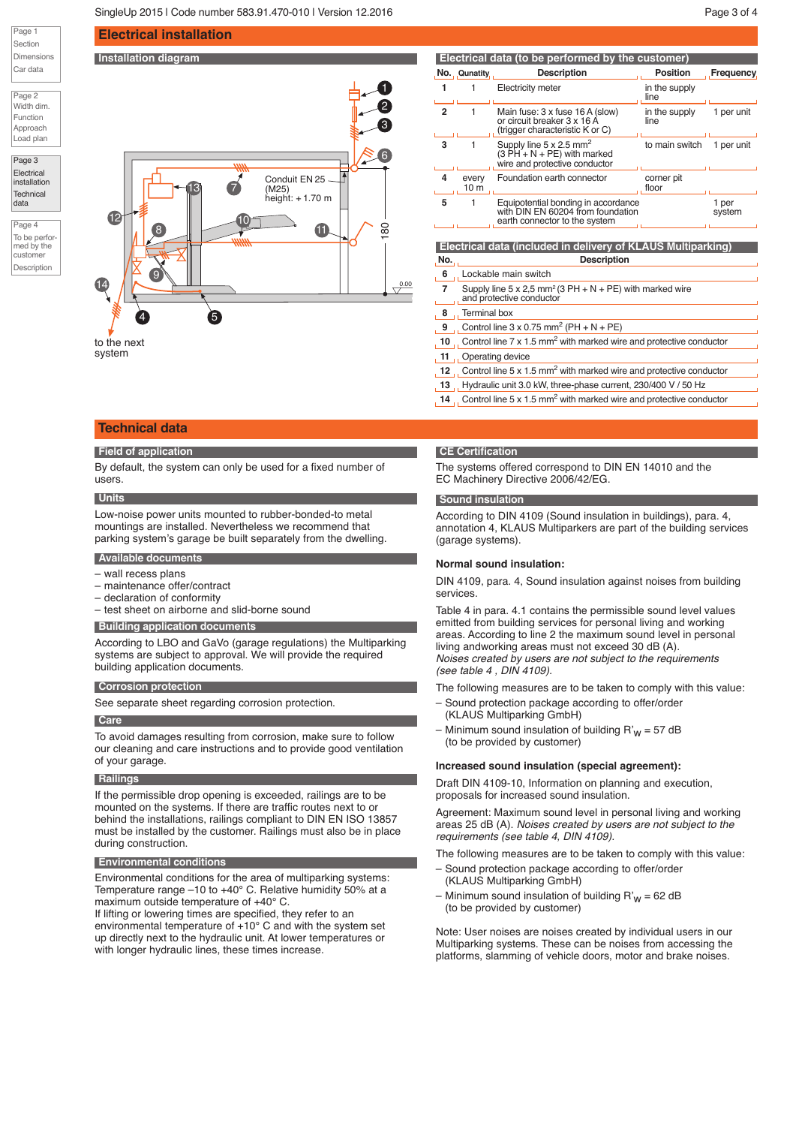**Electrical installation**

#### Page 1 Section Dimensions Car data

Page 2 Width dim. Function Approach Load plan

Page 3 **Electrical** installation **Technical** 

data

Page 4 To be performed by the customer Description



| Electrical data (to be performed by the customer) |                                                                                                  |                                                                                                              |                       |                 |
|---------------------------------------------------|--------------------------------------------------------------------------------------------------|--------------------------------------------------------------------------------------------------------------|-----------------------|-----------------|
|                                                   | No. Qunatity                                                                                     | <b>Description</b>                                                                                           | <b>Position</b>       | Frequency,      |
|                                                   | 1                                                                                                | Electricity meter                                                                                            | in the supply<br>line |                 |
| 2                                                 | 1                                                                                                | Main fuse: 3 x fuse 16 A (slow)<br>or circuit breaker 3 x 16 A<br>(trigger characteristic K or C)            | in the supply<br>line | 1 per unit      |
| 3                                                 | 1                                                                                                | Supply line $5 \times 2.5$ mm <sup>2</sup><br>$(3 PH + N + PE)$ with marked<br>wire and protective conductor | to main switch        | 1 per unit      |
| 4                                                 | every<br>10 m                                                                                    | Foundation earth connector                                                                                   | corner pit<br>floor   |                 |
| 5                                                 | 1                                                                                                | Equipotential bonding in accordance<br>with DIN EN 60204 from foundation<br>earth connector to the system    |                       | 1 per<br>system |
|                                                   |                                                                                                  | Electrical data (included in delivery of KLAUS Multiparking)                                                 |                       |                 |
| No.                                               |                                                                                                  | <b>Description</b>                                                                                           |                       |                 |
| 6                                                 | Lockable main switch                                                                             |                                                                                                              |                       |                 |
| 7                                                 | Supply line 5 x 2,5 mm <sup>2</sup> (3 PH + N + PE) with marked wire<br>and protective conductor |                                                                                                              |                       |                 |
| 8                                                 | <b>Terminal box</b>                                                                              |                                                                                                              |                       |                 |
| 9                                                 | Control line $3 \times 0.75$ mm <sup>2</sup> (PH + N + PE)                                       |                                                                                                              |                       |                 |
| 10                                                | Control line $7 \times 1.5$ mm <sup>2</sup> with marked wire and protective conductor            |                                                                                                              |                       |                 |

- **11** Operating device
- 12 Gontrol line 5 x 1.5 mm<sup>2</sup> with marked wire and protective conductor
- 13 Hydraulic unit 3.0 kW, three-phase current, 230/400 V / 50 Hz
- $14$  Control line 5 x 1.5 mm<sup>2</sup> with marked wire and protective conductor

#### **Technical data**

#### **Field of application**

By default, the system can only be used for a fixed number of users.

#### **Units**

Low-noise power units mounted to rubber-bonded-to metal mountings are installed. Nevertheless we recommend that parking system's garage be built separately from the dwelling.

#### **Available documents**

- wall recess plans
- maintenance offer/contract
- declaration of conformity
- test sheet on airborne and slid-borne sound

#### **Building application documents**

According to LBO and GaVo (garage regulations) the Multiparking systems are subject to approval. We will provide the required building application documents.

#### **Corrosion protection**

See separate sheet regarding corrosion protection.

#### **Care**

To avoid damages resulting from corrosion, make sure to follow our cleaning and care instructions and to provide good ventilation of your garage.

#### **Railings**

If the permissible drop opening is exceeded, railings are to be mounted on the systems. If there are traffic routes next to or behind the installations, railings compliant to DIN EN ISO 13857 must be installed by the customer. Railings must also be in place during construction.

#### **Environmental conditions**

Environmental conditions for the area of multiparking systems: Temperature range –10 to +40° C. Relative humidity 50% at a maximum outside temperature of +40° C.

If lifting or lowering times are specified, they refer to an environmental temperature of +10° C and with the system set up directly next to the hydraulic unit. At lower temperatures or with longer hydraulic lines, these times increase.

#### **CE Certification**

The systems offered correspond to DIN EN 14010 and the EC Machinery Directive 2006/42/EG.

#### **Sound insulation**

According to DIN 4109 (Sound insulation in buildings), para. 4, annotation 4, KLAUS Multiparkers are part of the building services (garage systems).

#### **Normal sound insulation:**

DIN 4109, para. 4, Sound insulation against noises from building services.

Table 4 in para. 4.1 contains the permissible sound level values emitted from building services for personal living and working areas. According to line 2 the maximum sound level in personal living andworking areas must not exceed 30 dB (A). *Noises created by users are not subject to the requirements (see table 4 , DIN 4109).*

The following measures are to be taken to comply with this value:

- Sound protection package according to offer/order (KLAUS Multiparking GmbH)
- Minimum sound insulation of building  $R'_{W}$  = 57 dB (to be provided by customer)

#### **Increased sound insulation (special agreement):**

Draft DIN 4109-10, Information on planning and execution, proposals for increased sound insulation.

Agreement: Maximum sound level in personal living and working areas 25 dB (A). *Noises created by users are not subject to the requirements (see table 4, DIN 4109).*

The following measures are to be taken to comply with this value:

- Sound protection package according to offer/order (KLAUS Multiparking GmbH)
- Minimum sound insulation of building  $R'_{W}$  = 62 dB (to be provided by customer)

Note: User noises are noises created by individual users in our Multiparking systems. These can be noises from accessing the platforms, slamming of vehicle doors, motor and brake noises.